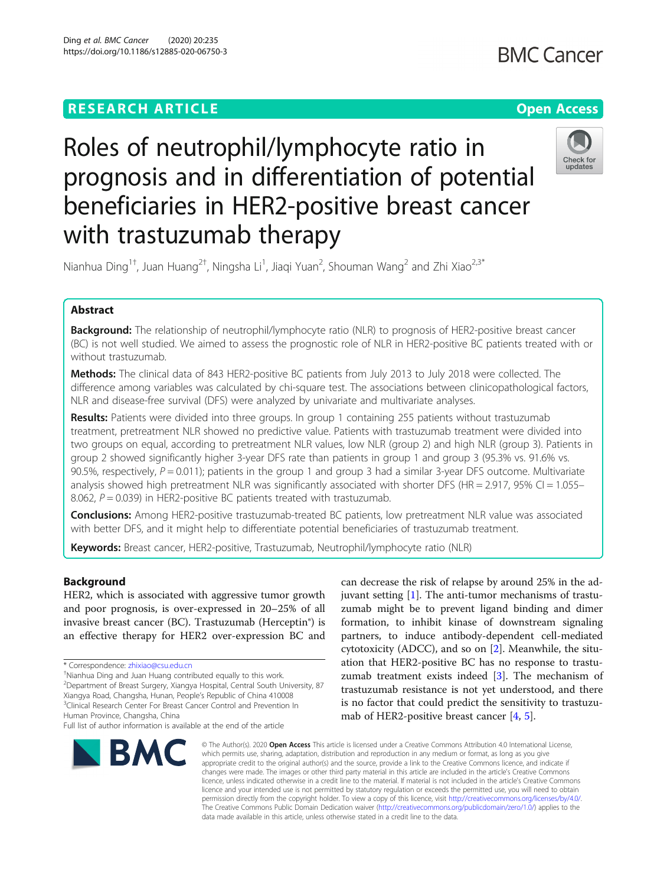# **RESEARCH ARTICLE Example 2014 12:30 The Contract of Contract ACCESS**

# **BMC Cancer**



Roles of neutrophil/lymphocyte ratio in prognosis and in differentiation of potential beneficiaries in HER2-positive breast cancer with trastuzumab therapy

Nianhua Ding $^{1\dagger}$ , Juan Huang $^{2\dagger}$ , Ningsha Li $^1$ , Jiaqi Yuan $^2$ , Shouman Wang $^2$  and Zhi Xiao $^{2,3^\ast}$ 

# Abstract

**Background:** The relationship of neutrophil/lymphocyte ratio (NLR) to prognosis of HER2-positive breast cancer (BC) is not well studied. We aimed to assess the prognostic role of NLR in HER2-positive BC patients treated with or without trastuzumab.

Methods: The clinical data of 843 HER2-positive BC patients from July 2013 to July 2018 were collected. The difference among variables was calculated by chi-square test. The associations between clinicopathological factors, NLR and disease-free survival (DFS) were analyzed by univariate and multivariate analyses.

Results: Patients were divided into three groups. In group 1 containing 255 patients without trastuzumab treatment, pretreatment NLR showed no predictive value. Patients with trastuzumab treatment were divided into two groups on equal, according to pretreatment NLR values, low NLR (group 2) and high NLR (group 3). Patients in group 2 showed significantly higher 3-year DFS rate than patients in group 1 and group 3 (95.3% vs. 91.6% vs. 90.5%, respectively,  $P = 0.011$ ); patients in the group 1 and group 3 had a similar 3-year DFS outcome. Multivariate analysis showed high pretreatment NLR was significantly associated with shorter DFS (HR = 2.917, 95% CI = 1.055– 8.062,  $P = 0.039$ ) in HER2-positive BC patients treated with trastuzumab.

**Conclusions:** Among HER2-positive trastuzumab-treated BC patients, low pretreatment NLR value was associated with better DFS, and it might help to differentiate potential beneficiaries of trastuzumab treatment.

Keywords: Breast cancer, HER2-positive, Trastuzumab, Neutrophil/lymphocyte ratio (NLR)

# Background

HER2, which is associated with aggressive tumor growth and poor prognosis, is over-expressed in 20–25% of all invasive breast cancer (BC). Trastuzumab (Herceptin®) is an effective therapy for HER2 over-expression BC and

Nianhua Ding and Juan Huang contributed equally to this work. 2 Department of Breast Surgery, Xiangya Hospital, Central South University, 87 Xiangya Road, Changsha, Hunan, People's Republic of China 410008 <sup>3</sup> <sup>3</sup>Clinical Research Center For Breast Cancer Control and Prevention In

Human Province, Changsha, China Full list of author information is available at the end of the article



can decrease the risk of relapse by around 25% in the adjuvant setting [[1](#page-7-0)]. The anti-tumor mechanisms of trastuzumab might be to prevent ligand binding and dimer formation, to inhibit kinase of downstream signaling partners, to induce antibody-dependent cell-mediated cytotoxicity (ADCC), and so on [[2\]](#page-7-0). Meanwhile, the situation that HER2-positive BC has no response to trastuzumab treatment exists indeed [[3](#page-7-0)]. The mechanism of trastuzumab resistance is not yet understood, and there is no factor that could predict the sensitivity to trastuzu-mab of HER2-positive breast cancer [\[4](#page-7-0), [5](#page-7-0)].

© The Author(s), 2020 **Open Access** This article is licensed under a Creative Commons Attribution 4.0 International License, which permits use, sharing, adaptation, distribution and reproduction in any medium or format, as long as you give appropriate credit to the original author(s) and the source, provide a link to the Creative Commons licence, and indicate if changes were made. The images or other third party material in this article are included in the article's Creative Commons licence, unless indicated otherwise in a credit line to the material. If material is not included in the article's Creative Commons licence and your intended use is not permitted by statutory regulation or exceeds the permitted use, you will need to obtain permission directly from the copyright holder. To view a copy of this licence, visit [http://creativecommons.org/licenses/by/4.0/.](http://creativecommons.org/licenses/by/4.0/) The Creative Commons Public Domain Dedication waiver [\(http://creativecommons.org/publicdomain/zero/1.0/](http://creativecommons.org/publicdomain/zero/1.0/)) applies to the data made available in this article, unless otherwise stated in a credit line to the data.

<sup>\*</sup> Correspondence: [zhixiao@csu.edu.cn](mailto:zhixiao@csu.edu.cn) †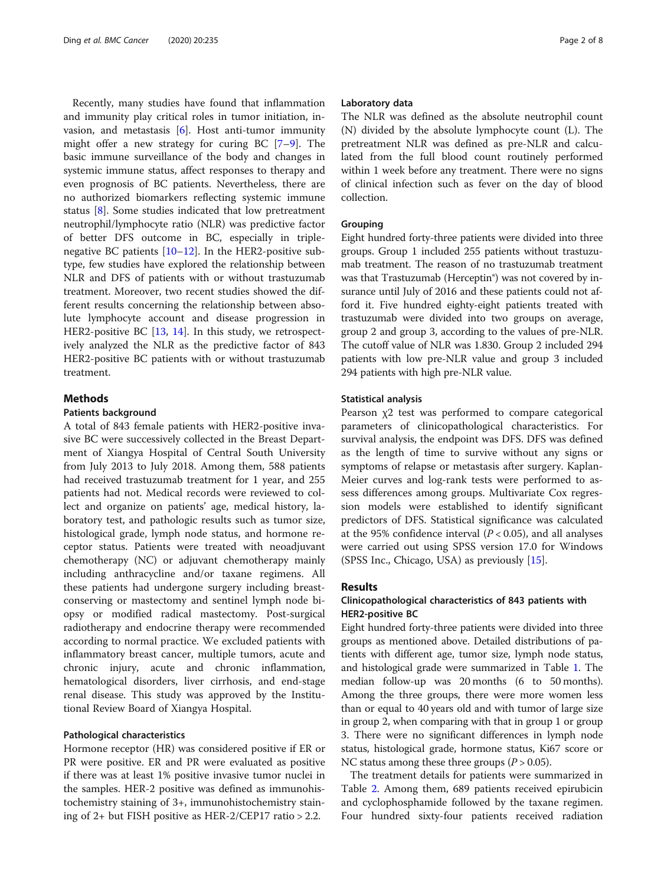Recently, many studies have found that inflammation and immunity play critical roles in tumor initiation, invasion, and metastasis [\[6](#page-7-0)]. Host anti-tumor immunity might offer a new strategy for curing BC  $[7-9]$  $[7-9]$  $[7-9]$  $[7-9]$ . The basic immune surveillance of the body and changes in systemic immune status, affect responses to therapy and even prognosis of BC patients. Nevertheless, there are no authorized biomarkers reflecting systemic immune status [\[8\]](#page-7-0). Some studies indicated that low pretreatment neutrophil/lymphocyte ratio (NLR) was predictive factor of better DFS outcome in BC, especially in triplenegative BC patients [\[10](#page-7-0)–[12\]](#page-7-0). In the HER2-positive subtype, few studies have explored the relationship between NLR and DFS of patients with or without trastuzumab treatment. Moreover, two recent studies showed the different results concerning the relationship between absolute lymphocyte account and disease progression in HER2-positive BC [\[13](#page-7-0), [14\]](#page-7-0). In this study, we retrospectively analyzed the NLR as the predictive factor of 843 HER2-positive BC patients with or without trastuzumab treatment.

# Methods

# Patients background

A total of 843 female patients with HER2-positive invasive BC were successively collected in the Breast Department of Xiangya Hospital of Central South University from July 2013 to July 2018. Among them, 588 patients had received trastuzumab treatment for 1 year, and 255 patients had not. Medical records were reviewed to collect and organize on patients' age, medical history, laboratory test, and pathologic results such as tumor size, histological grade, lymph node status, and hormone receptor status. Patients were treated with neoadjuvant chemotherapy (NC) or adjuvant chemotherapy mainly including anthracycline and/or taxane regimens. All these patients had undergone surgery including breastconserving or mastectomy and sentinel lymph node biopsy or modified radical mastectomy. Post-surgical radiotherapy and endocrine therapy were recommended according to normal practice. We excluded patients with inflammatory breast cancer, multiple tumors, acute and chronic injury, acute and chronic inflammation, hematological disorders, liver cirrhosis, and end-stage renal disease. This study was approved by the Institutional Review Board of Xiangya Hospital.

## Pathological characteristics

Hormone receptor (HR) was considered positive if ER or PR were positive. ER and PR were evaluated as positive if there was at least 1% positive invasive tumor nuclei in the samples. HER-2 positive was defined as immunohistochemistry staining of 3+, immunohistochemistry staining of 2+ but FISH positive as HER-2/CEP17 ratio > 2.2.

# Laboratory data

The NLR was defined as the absolute neutrophil count (N) divided by the absolute lymphocyte count (L). The pretreatment NLR was defined as pre-NLR and calculated from the full blood count routinely performed within 1 week before any treatment. There were no signs of clinical infection such as fever on the day of blood collection.

# Grouping

Eight hundred forty-three patients were divided into three groups. Group 1 included 255 patients without trastuzumab treatment. The reason of no trastuzumab treatment was that Trastuzumab (Herceptin®) was not covered by insurance until July of 2016 and these patients could not afford it. Five hundred eighty-eight patients treated with trastuzumab were divided into two groups on average, group 2 and group 3, according to the values of pre-NLR. The cutoff value of NLR was 1.830. Group 2 included 294 patients with low pre-NLR value and group 3 included 294 patients with high pre-NLR value.

# Statistical analysis

Pearson χ2 test was performed to compare categorical parameters of clinicopathological characteristics. For survival analysis, the endpoint was DFS. DFS was defined as the length of time to survive without any signs or symptoms of relapse or metastasis after surgery. Kaplan-Meier curves and log-rank tests were performed to assess differences among groups. Multivariate Cox regression models were established to identify significant predictors of DFS. Statistical significance was calculated at the 95% confidence interval  $(P < 0.05)$ , and all analyses were carried out using SPSS version 17.0 for Windows (SPSS Inc., Chicago, USA) as previously [[15\]](#page-7-0).

# Results

# Clinicopathological characteristics of 843 patients with HER2-positive BC

Eight hundred forty-three patients were divided into three groups as mentioned above. Detailed distributions of patients with different age, tumor size, lymph node status, and histological grade were summarized in Table [1.](#page-2-0) The median follow-up was 20 months (6 to 50 months). Among the three groups, there were more women less than or equal to 40 years old and with tumor of large size in group 2, when comparing with that in group 1 or group 3. There were no significant differences in lymph node status, histological grade, hormone status, Ki67 score or NC status among these three groups  $(P > 0.05)$ .

The treatment details for patients were summarized in Table [2.](#page-2-0) Among them, 689 patients received epirubicin and cyclophosphamide followed by the taxane regimen. Four hundred sixty-four patients received radiation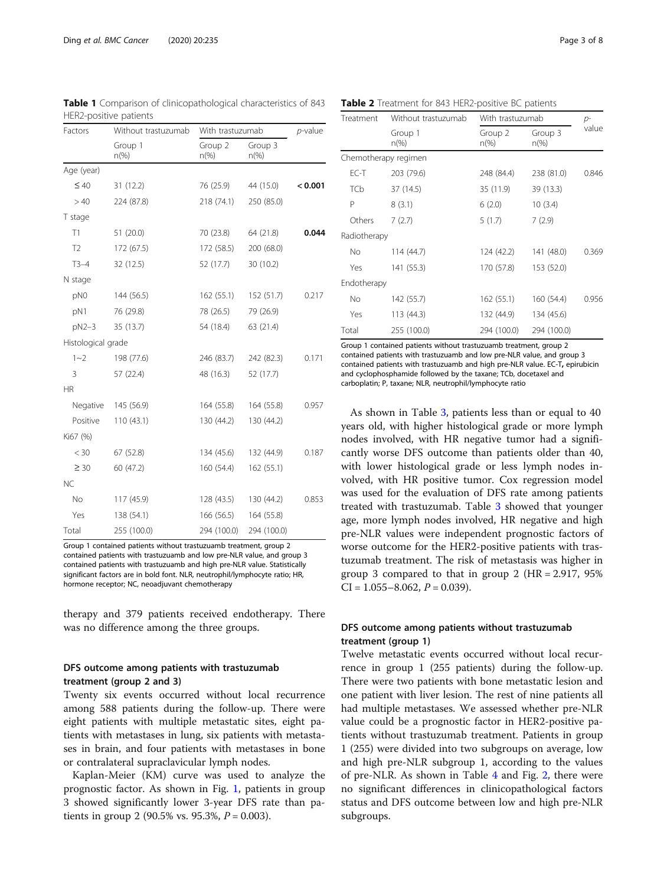| Factors            | Without trastuzumab<br>Group 1<br>$n(\%)$ | With trastuzumab   |                           | $p$ -value |
|--------------------|-------------------------------------------|--------------------|---------------------------|------------|
|                    |                                           | Group 2<br>$n(\%)$ | Group 3<br>$n\frac{9}{6}$ |            |
| Age (year)         |                                           |                    |                           |            |
| $\leq 40$          | 31 (12.2)                                 | 76 (25.9)          | 44 (15.0)                 | < 0.001    |
| >40                | 224 (87.8)                                | 218 (74.1)         | 250 (85.0)                |            |
| T stage            |                                           |                    |                           |            |
| T1                 | 51(20.0)                                  | 70 (23.8)          | 64 (21.8)                 | 0.044      |
| T <sub>2</sub>     | 172 (67.5)                                | 172 (58.5)         | 200 (68.0)                |            |
| $T3-4$             | 32 (12.5)                                 | 52 (17.7)          | 30 (10.2)                 |            |
| N stage            |                                           |                    |                           |            |
| pN0                | 144 (56.5)                                | 162 (55.1)         | 152 (51.7)                | 0.217      |
| pN1                | 76 (29.8)                                 | 78 (26.5)          | 79 (26.9)                 |            |
| $pN2-3$            | 35 (13.7)                                 | 54 (18.4)          | 63 (21.4)                 |            |
| Histological grade |                                           |                    |                           |            |
| $1 - 2$            | 198 (77.6)                                | 246 (83.7)         | 242 (82.3)                | 0.171      |
| 3                  | 57 (22.4)                                 | 48 (16.3)          | 52 (17.7)                 |            |
| <b>HR</b>          |                                           |                    |                           |            |
| Negative           | 145 (56.9)                                | 164 (55.8)         | 164 (55.8)                | 0.957      |
| Positive           | 110 (43.1)                                | 130 (44.2)         | 130 (44.2)                |            |
| Ki67 (%)           |                                           |                    |                           |            |
| $<$ 30             | 67 (52.8)                                 | 134 (45.6)         | 132 (44.9)                | 0.187      |
| $\geq 30$          | 60 (47.2)                                 | 160 (54.4)         | 162 (55.1)                |            |
| <b>NC</b>          |                                           |                    |                           |            |
| No                 | 117 (45.9)                                | 128 (43.5)         | 130 (44.2)                | 0.853      |
| Yes                | 138 (54.1)                                | 166 (56.5)         | 164 (55.8)                |            |
| Total              | 255 (100.0)                               | 294 (100.0)        | 294 (100.0)               |            |

<span id="page-2-0"></span>Table 1 Comparison of clinicopathological characteristics of 843 HER2-positive patients

Group 1 contained patients without trastuzuamb treatment, group 2 contained patients with trastuzuamb and low pre-NLR value, and group 3 contained patients with trastuzuamb and high pre-NLR value. Statistically significant factors are in bold font. NLR, neutrophil/lymphocyte ratio; HR, hormone receptor; NC, neoadjuvant chemotherapy

therapy and 379 patients received endotherapy. There was no difference among the three groups.

# DFS outcome among patients with trastuzumab treatment (group 2 and 3)

Twenty six events occurred without local recurrence among 588 patients during the follow-up. There were eight patients with multiple metastatic sites, eight patients with metastases in lung, six patients with metastases in brain, and four patients with metastases in bone or contralateral supraclavicular lymph nodes.

Kaplan-Meier (KM) curve was used to analyze the prognostic factor. As shown in Fig. [1,](#page-3-0) patients in group 3 showed significantly lower 3-year DFS rate than patients in group 2 (90.5% vs. 95.3%,  $P = 0.003$ ).

| Treatment    | Without trastuzumab<br>Group 1<br>$n\frac{9}{6}$ | With trastuzumab   |                           | $D^-$ |
|--------------|--------------------------------------------------|--------------------|---------------------------|-------|
|              |                                                  | Group 2<br>$n(\%)$ | Group 3<br>$n\frac{9}{6}$ | value |
|              | Chemotherapy regimen                             |                    |                           |       |
| EC-T         | 203 (79.6)                                       | 248 (84.4)         | 238 (81.0)                | 0.846 |
| <b>TCb</b>   | 37 (14.5)                                        | 35 (11.9)          | 39 (13.3)                 |       |
| P            | 8(3.1)                                           | 6(2.0)             | 10(3.4)                   |       |
| Others       | 7(2.7)                                           | 5(1.7)             | 7(2.9)                    |       |
| Radiotherapy |                                                  |                    |                           |       |
| No.          | 114 (44.7)                                       | 124 (42.2)         | 141 (48.0)                | 0.369 |
| Yes          | 141 (55.3)                                       | 170 (57.8)         | 153 (52.0)                |       |
| Endotherapy  |                                                  |                    |                           |       |
| No.          | 142 (55.7)                                       | 162 (55.1)         | 160 (54.4)                | 0.956 |
| Yes          | 113 (44.3)                                       | 132 (44.9)         | 134 (45.6)                |       |
| Total        | 255 (100.0)                                      | 294 (100.0)        | 294 (100.0)               |       |

Table 2 Treatment for 843 HER2-positive BC patients

Group 1 contained patients without trastuzuamb treatment, group 2 contained patients with trastuzuamb and low pre-NLR value, and group 3 contained patients with trastuzuamb and high pre-NLR value. EC-T, epirubicin and cyclophosphamide followed by the taxane; TCb, docetaxel and carboplatin; P, taxane; NLR, neutrophil/lymphocyte ratio

As shown in Table [3,](#page-3-0) patients less than or equal to 40 years old, with higher histological grade or more lymph nodes involved, with HR negative tumor had a significantly worse DFS outcome than patients older than 40, with lower histological grade or less lymph nodes involved, with HR positive tumor. Cox regression model was used for the evaluation of DFS rate among patients treated with trastuzumab. Table [3](#page-3-0) showed that younger age, more lymph nodes involved, HR negative and high pre-NLR values were independent prognostic factors of worse outcome for the HER2-positive patients with trastuzumab treatment. The risk of metastasis was higher in group 3 compared to that in group 2 (HR = 2.917, 95%  $CI = 1.055 - 8.062, P = 0.039$ .

# DFS outcome among patients without trastuzumab treatment (group 1)

Twelve metastatic events occurred without local recurrence in group 1 (255 patients) during the follow-up. There were two patients with bone metastatic lesion and one patient with liver lesion. The rest of nine patients all had multiple metastases. We assessed whether pre-NLR value could be a prognostic factor in HER2-positive patients without trastuzumab treatment. Patients in group 1 (255) were divided into two subgroups on average, low and high pre-NLR subgroup 1, according to the values of pre-NLR. As shown in Table [4](#page-4-0) and Fig. [2](#page-5-0), there were no significant differences in clinicopathological factors status and DFS outcome between low and high pre-NLR subgroups.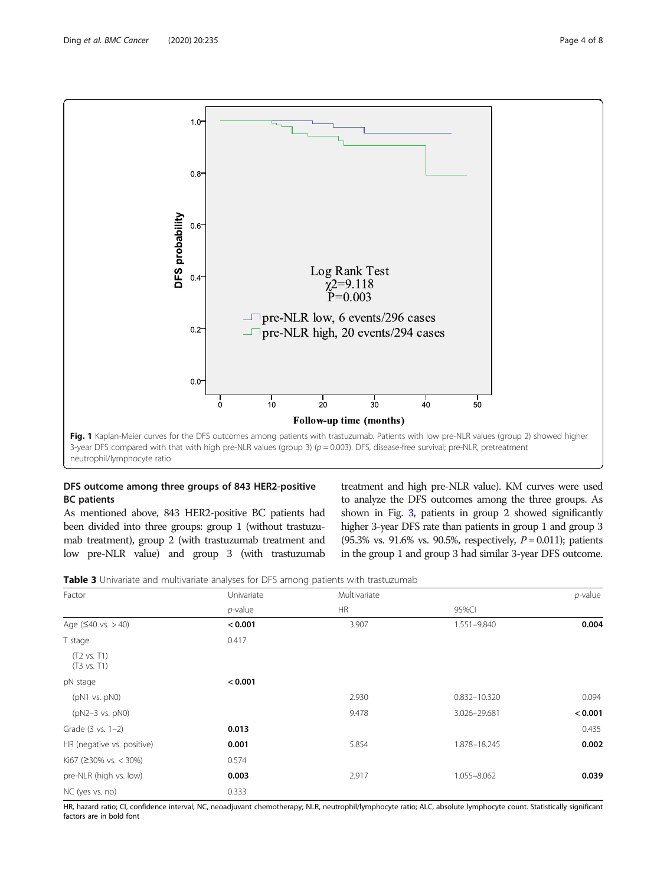<span id="page-3-0"></span>

# DFS outcome among three groups of 843 HER2-positive BC patients

As mentioned above, 843 HER2-positive BC patients had been divided into three groups: group 1 (without trastuzumab treatment), group 2 (with trastuzumab treatment and low pre-NLR value) and group 3 (with trastuzumab treatment and high pre-NLR value). KM curves were used to analyze the DFS outcomes among the three groups. As shown in Fig. [3](#page-6-0), patients in group 2 showed significantly higher 3-year DFS rate than patients in group 1 and group 3 (95.3% vs. 91.6% vs. 90.5%, respectively,  $P = 0.011$ ); patients in the group 1 and group 3 had similar 3-year DFS outcome.

| Factor                       | Univariate | Multivariate |              |         |
|------------------------------|------------|--------------|--------------|---------|
|                              | $p$ -value | <b>HR</b>    | 95%CI        |         |
| Age $(540 \text{ vs.} > 40)$ | < 0.001    | 3.907        | 1.551-9.840  | 0.004   |
| T stage                      | 0.417      |              |              |         |
| (T2 vs. T1)<br>(T3 vs. T1)   |            |              |              |         |
| pN stage                     | < 0.001    |              |              |         |
| (pN1 vs. pN0)                |            | 2.930        | 0.832-10.320 | 0.094   |
| (pN2-3 vs. pN0)              |            | 9.478        | 3.026-29.681 | < 0.001 |
| Grade (3 vs. 1-2)            | 0.013      |              |              | 0.435   |
| HR (negative vs. positive)   | 0.001      | 5.854        | 1.878-18.245 | 0.002   |
| Ki67 ( $\geq$ 30% vs. < 30%) | 0.574      |              |              |         |
| pre-NLR (high vs. low)       | 0.003      | 2.917        | 1.055-8.062  | 0.039   |
| NC (yes vs. no)              | 0.333      |              |              |         |

HR, hazard ratio; CI, confidence interval; NC, neoadjuvant chemotherapy; NLR, neutrophil/lymphocyte ratio; ALC, absolute lymphocyte count. Statistically significant factors are in bold font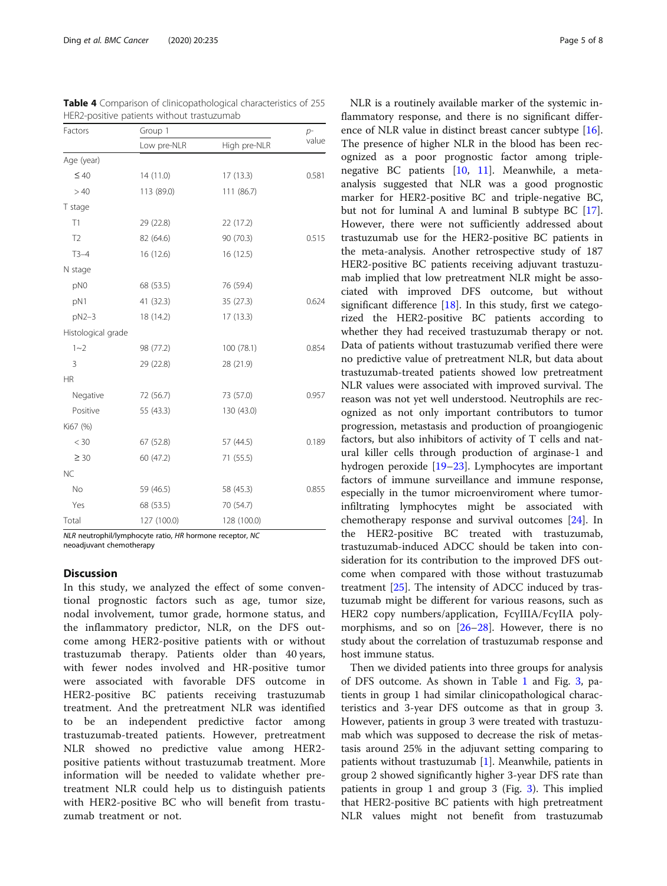| Factors            | Group 1     | $p-$         |       |
|--------------------|-------------|--------------|-------|
|                    | Low pre-NLR | High pre-NLR | value |
| Age (year)         |             |              |       |
| $\leq 40$          | 14 (11.0)   | 17(13.3)     | 0.581 |
| >40                | 113 (89.0)  | 111 (86.7)   |       |
| T stage            |             |              |       |
| T1                 | 29 (22.8)   | 22 (17.2)    |       |
| T <sub>2</sub>     | 82 (64.6)   | 90 (70.3)    | 0.515 |
| $T3-4$             | 16 (12.6)   | 16 (12.5)    |       |
| N stage            |             |              |       |
| pN0                | 68 (53.5)   | 76 (59.4)    |       |
| pN1                | 41 (32.3)   | 35 (27.3)    | 0.624 |
| $pN2-3$            | 18 (14.2)   | 17(13.3)     |       |
| Histological grade |             |              |       |
| $1 - 2$            | 98 (77.2)   | 100 (78.1)   | 0.854 |
| $\overline{3}$     | 29 (22.8)   | 28 (21.9)    |       |
| <b>HR</b>          |             |              |       |
| Negative           | 72 (56.7)   | 73 (57.0)    | 0.957 |
| Positive           | 55 (43.3)   | 130 (43.0)   |       |
| Ki67 (%)           |             |              |       |
| $<$ 30             | 67 (52.8)   | 57 (44.5)    | 0.189 |
| $\geq 30$          | 60 (47.2)   | 71 (55.5)    |       |
| <b>NC</b>          |             |              |       |
| No                 | 59 (46.5)   | 58 (45.3)    | 0.855 |
| Yes                | 68 (53.5)   | 70 (54.7)    |       |
| Total              | 127 (100.0) | 128 (100.0)  |       |

<span id="page-4-0"></span>Table 4 Comparison of clinicopathological characteristics of 255 HER2-positive patients without trastuzumab

NLR neutrophil/lymphocyte ratio, HR hormone receptor, NC neoadjuvant chemotherapy

# **Discussion**

In this study, we analyzed the effect of some conventional prognostic factors such as age, tumor size, nodal involvement, tumor grade, hormone status, and the inflammatory predictor, NLR, on the DFS outcome among HER2-positive patients with or without trastuzumab therapy. Patients older than 40 years, with fewer nodes involved and HR-positive tumor were associated with favorable DFS outcome in HER2-positive BC patients receiving trastuzumab treatment. And the pretreatment NLR was identified to be an independent predictive factor among trastuzumab-treated patients. However, pretreatment NLR showed no predictive value among HER2 positive patients without trastuzumab treatment. More information will be needed to validate whether pretreatment NLR could help us to distinguish patients with HER2-positive BC who will benefit from trastuzumab treatment or not.

NLR is a routinely available marker of the systemic inflammatory response, and there is no significant differ-ence of NLR value in distinct breast cancer subtype [\[16](#page-7-0)]. The presence of higher NLR in the blood has been recognized as a poor prognostic factor among triplenegative BC patients [[10](#page-7-0), [11](#page-7-0)]. Meanwhile, a metaanalysis suggested that NLR was a good prognostic marker for HER2-positive BC and triple-negative BC, but not for luminal A and luminal B subtype BC [\[17](#page-7-0)]. However, there were not sufficiently addressed about trastuzumab use for the HER2-positive BC patients in the meta-analysis. Another retrospective study of 187 HER2-positive BC patients receiving adjuvant trastuzumab implied that low pretreatment NLR might be associated with improved DFS outcome, but without significant difference [\[18\]](#page-7-0). In this study, first we categorized the HER2-positive BC patients according to whether they had received trastuzumab therapy or not. Data of patients without trastuzumab verified there were no predictive value of pretreatment NLR, but data about trastuzumab-treated patients showed low pretreatment NLR values were associated with improved survival. The reason was not yet well understood. Neutrophils are recognized as not only important contributors to tumor progression, metastasis and production of proangiogenic factors, but also inhibitors of activity of T cells and natural killer cells through production of arginase-1 and hydrogen peroxide [\[19](#page-7-0)–[23\]](#page-7-0). Lymphocytes are important factors of immune surveillance and immune response, especially in the tumor microenviroment where tumorinfiltrating lymphocytes might be associated with chemotherapy response and survival outcomes [\[24\]](#page-7-0). In the HER2-positive BC treated with trastuzumab, trastuzumab-induced ADCC should be taken into consideration for its contribution to the improved DFS outcome when compared with those without trastuzumab treatment [\[25](#page-7-0)]. The intensity of ADCC induced by trastuzumab might be different for various reasons, such as HER2 copy numbers/application, FcγIIIA/FcγIIA polymorphisms, and so on  $[26-28]$  $[26-28]$  $[26-28]$  $[26-28]$  $[26-28]$ . However, there is no study about the correlation of trastuzumab response and host immune status.

Then we divided patients into three groups for analysis of DFS outcome. As shown in Table [1](#page-2-0) and Fig. [3,](#page-6-0) patients in group 1 had similar clinicopathological characteristics and 3-year DFS outcome as that in group 3. However, patients in group 3 were treated with trastuzumab which was supposed to decrease the risk of metastasis around 25% in the adjuvant setting comparing to patients without trastuzumab [[1\]](#page-7-0). Meanwhile, patients in group 2 showed significantly higher 3-year DFS rate than patients in group 1 and group 3 (Fig. [3\)](#page-6-0). This implied that HER2-positive BC patients with high pretreatment NLR values might not benefit from trastuzumab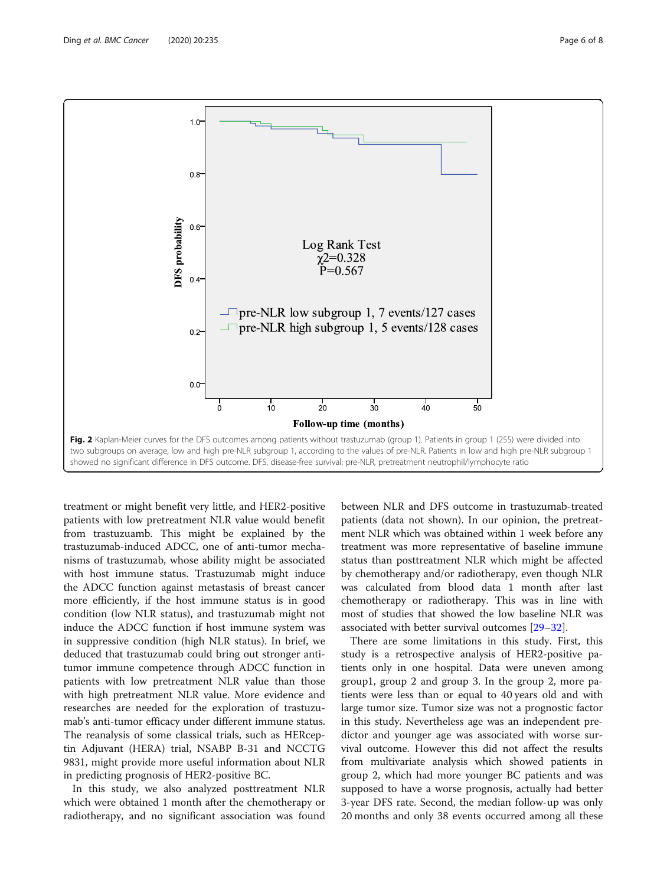<span id="page-5-0"></span>

treatment or might benefit very little, and HER2-positive patients with low pretreatment NLR value would benefit from trastuzuamb. This might be explained by the trastuzumab-induced ADCC, one of anti-tumor mechanisms of trastuzumab, whose ability might be associated with host immune status. Trastuzumab might induce the ADCC function against metastasis of breast cancer more efficiently, if the host immune status is in good condition (low NLR status), and trastuzumab might not induce the ADCC function if host immune system was in suppressive condition (high NLR status). In brief, we deduced that trastuzumab could bring out stronger antitumor immune competence through ADCC function in patients with low pretreatment NLR value than those with high pretreatment NLR value. More evidence and researches are needed for the exploration of trastuzumab's anti-tumor efficacy under different immune status. The reanalysis of some classical trials, such as HERceptin Adjuvant (HERA) trial, NSABP B-31 and NCCTG 9831, might provide more useful information about NLR in predicting prognosis of HER2-positive BC.

In this study, we also analyzed posttreatment NLR which were obtained 1 month after the chemotherapy or radiotherapy, and no significant association was found

between NLR and DFS outcome in trastuzumab-treated patients (data not shown). In our opinion, the pretreatment NLR which was obtained within 1 week before any treatment was more representative of baseline immune status than posttreatment NLR which might be affected by chemotherapy and/or radiotherapy, even though NLR was calculated from blood data 1 month after last chemotherapy or radiotherapy. This was in line with most of studies that showed the low baseline NLR was associated with better survival outcomes [\[29](#page-7-0)–[32\]](#page-7-0).

There are some limitations in this study. First, this study is a retrospective analysis of HER2-positive patients only in one hospital. Data were uneven among group1, group 2 and group 3. In the group 2, more patients were less than or equal to 40 years old and with large tumor size. Tumor size was not a prognostic factor in this study. Nevertheless age was an independent predictor and younger age was associated with worse survival outcome. However this did not affect the results from multivariate analysis which showed patients in group 2, which had more younger BC patients and was supposed to have a worse prognosis, actually had better 3-year DFS rate. Second, the median follow-up was only 20 months and only 38 events occurred among all these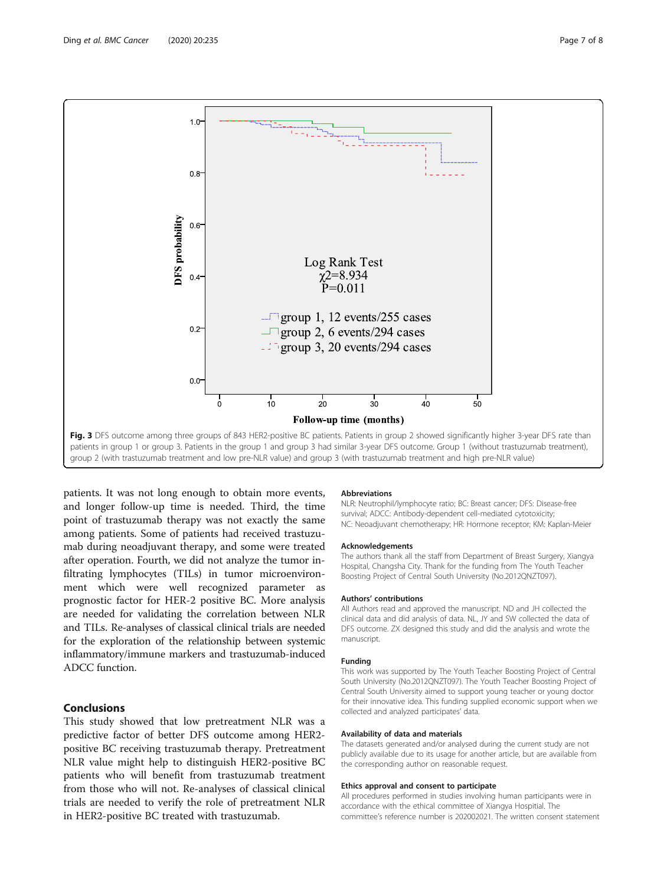<span id="page-6-0"></span>

patients. It was not long enough to obtain more events, and longer follow-up time is needed. Third, the time point of trastuzumab therapy was not exactly the same among patients. Some of patients had received trastuzumab during neoadjuvant therapy, and some were treated after operation. Fourth, we did not analyze the tumor infiltrating lymphocytes (TILs) in tumor microenvironment which were well recognized parameter as prognostic factor for HER-2 positive BC. More analysis are needed for validating the correlation between NLR and TILs. Re-analyses of classical clinical trials are needed for the exploration of the relationship between systemic inflammatory/immune markers and trastuzumab-induced ADCC function.

# Conclusions

This study showed that low pretreatment NLR was a predictive factor of better DFS outcome among HER2 positive BC receiving trastuzumab therapy. Pretreatment NLR value might help to distinguish HER2-positive BC patients who will benefit from trastuzumab treatment from those who will not. Re-analyses of classical clinical trials are needed to verify the role of pretreatment NLR in HER2-positive BC treated with trastuzumab.

#### Abbreviations

NLR: Neutrophil/lymphocyte ratio; BC: Breast cancer; DFS: Disease-free survival; ADCC: Antibody-dependent cell-mediated cytotoxicity; NC: Neoadjuvant chemotherapy; HR: Hormone receptor; KM: Kaplan-Meier

#### Acknowledgements

The authors thank all the staff from Department of Breast Surgery, Xiangya Hospital, Changsha City. Thank for the funding from The Youth Teacher Boosting Project of Central South University (No.2012QNZT097).

#### Authors' contributions

All Authors read and approved the manuscript. ND and JH collected the clinical data and did analysis of data. NL, JY and SW collected the data of DFS outcome. ZX designed this study and did the analysis and wrote the manuscript.

#### Funding

This work was supported by The Youth Teacher Boosting Project of Central South University (No.2012QNZT097). The Youth Teacher Boosting Project of Central South University aimed to support young teacher or young doctor for their innovative idea. This funding supplied economic support when we collected and analyzed participates' data.

#### Availability of data and materials

The datasets generated and/or analysed during the current study are not publicly available due to its usage for another article, but are available from the corresponding author on reasonable request.

#### Ethics approval and consent to participate

All procedures performed in studies involving human participants were in accordance with the ethical committee of Xiangya Hospitial. The committee's reference number is 202002021. The written consent statement